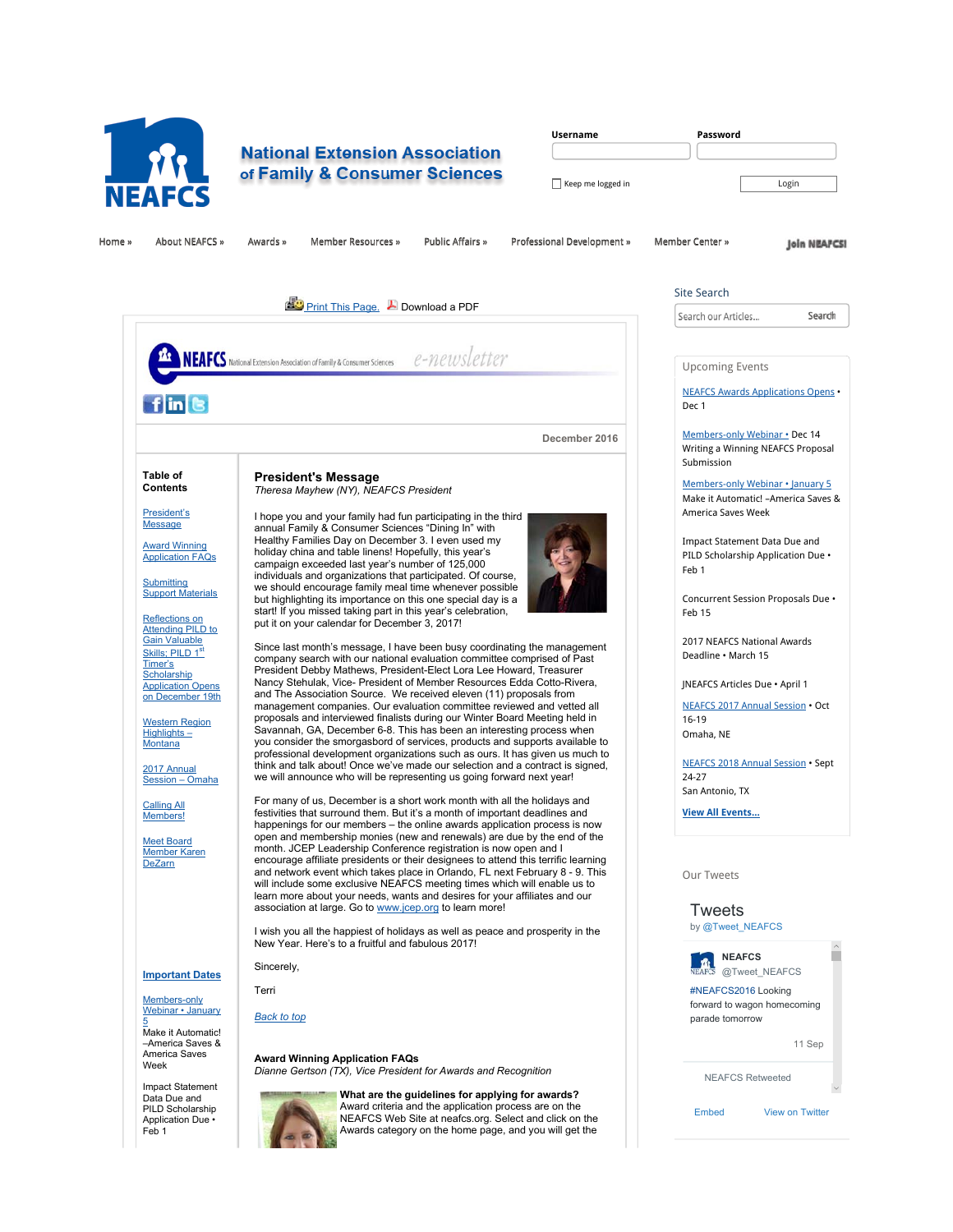

# **National Extension Association** of Family & Consumer Sciences

| <b>Username</b>   | Password |
|-------------------|----------|
|                   |          |
| Keep me logged in | Login    |

Home »» About NEAFCS »» Awards »» Member Resources »» Public Affairs »» Professional Development »» Member Center »»

**Join NEAFCSI** 

E

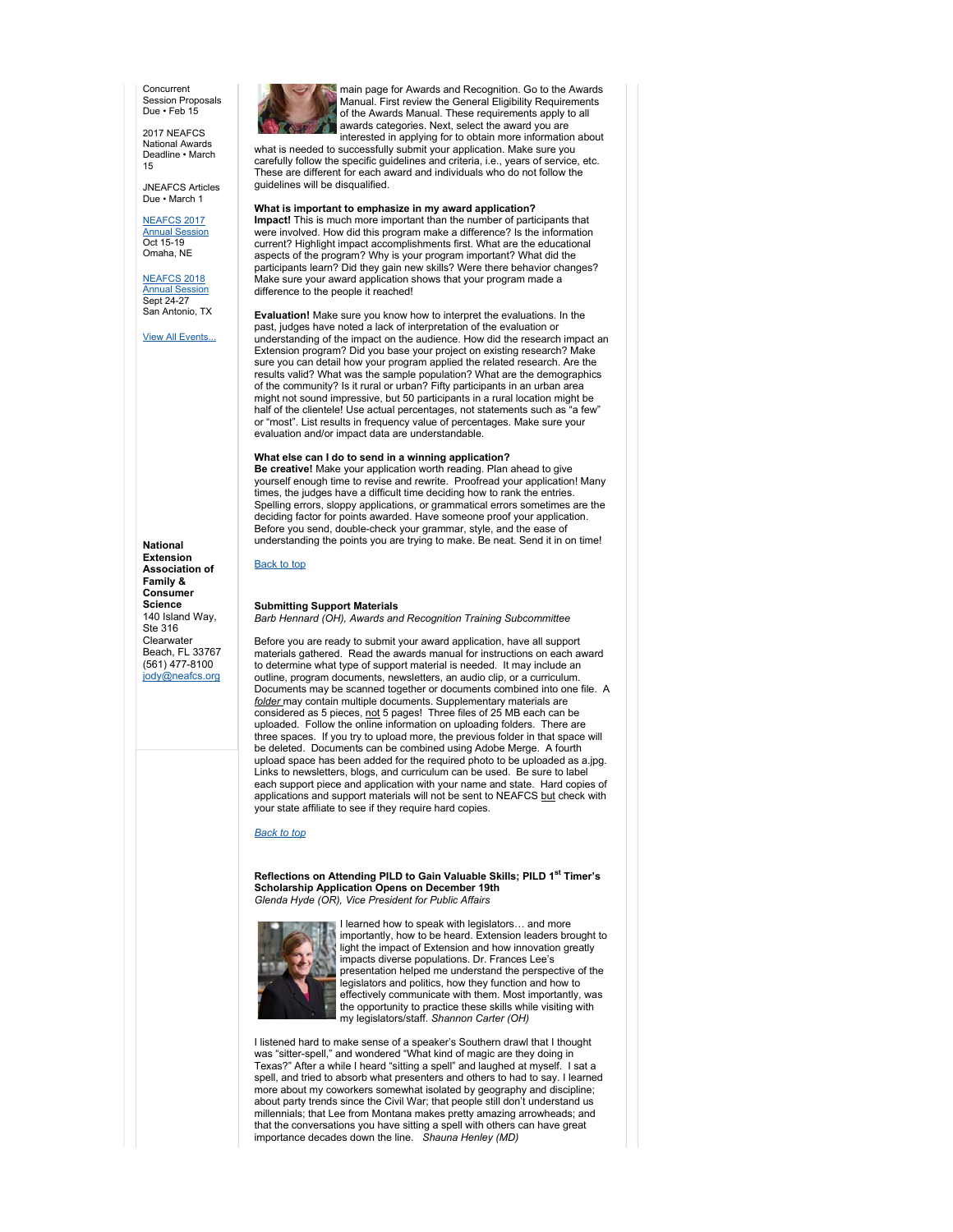**Concurrent** Session Proposals Due • Feb 15

2017 NEAFCS National Awards Deadline • March 15

JNEAFCS Articles Due • March 1

NEAFCS 2017 Annual Session

Oct 15-19 Omaha, NE

NEAFCS 2018 Annual Session Sept 24-27 San Antonio, TX

View All Events...

**National Extension Association of Family & Consumer Science** 140 Island Way, Ste 316 **Clearwater** Beach, FL 33767 (561) 477-8100 jody@neafcs.org

main page for Awards and Recognition. Go to the Awards Manual. First review the General Eligibility Requirements of the Awards Manual. These requirements apply to all awards categories. Next, select the award you are interested in applying for to obtain more information about

what is needed to successfully submit your application. Make sure you carefully follow the specific guidelines and criteria, i.e., years of service, etc. These are different for each award and individuals who do not follow the guidelines will be disqualified.

### **What is important to emphasize in my award application?**

**Impact!** This is much more important than the number of participants that were involved. How did this program make a difference? Is the information current? Highlight impact accomplishments first. What are the educational aspects of the program? Why is your program important? What did the participants learn? Did they gain new skills? Were there behavior changes? Make sure your award application shows that your program made a difference to the people it reached!

**Evaluation!** Make sure you know how to interpret the evaluations. In the past, judges have noted a lack of interpretation of the evaluation or understanding of the impact on the audience. How did the research impact an Extension program? Did you base your project on existing research? Make sure you can detail how your program applied the related research. Are the results valid? What was the sample population? What are the demographics of the community? Is it rural or urban? Fifty participants in an urban area might not sound impressive, but 50 participants in a rural location might be half of the clientele! Use actual percentages, not statements such as "a few" or "most". List results in frequency value of percentages. Make sure your evaluation and/or impact data are understandable.

## **What else can I do to send in a winning application?**

**Be creative!** Make your application worth reading. Plan ahead to give yourself enough time to revise and rewrite. Proofread your application! Many times, the judges have a difficult time deciding how to rank the entries. Spelling errors, sloppy applications, or grammatical errors sometimes are the deciding factor for points awarded. Have someone proof your application. Before you send, double-check your grammar, style, and the ease of understanding the points you are trying to make. Be neat. Send it in on time!

Back to top

#### **Submitting Support Materials** *Barb Hennard (OH), Awards and Recognition Training Subcommittee*

Before you are ready to submit your award application, have all support materials gathered. Read the awards manual for instructions on each award to determine what type of support material is needed. It may include an outline, program documents, newsletters, an audio clip, or a curriculum. Documents may be scanned together or documents combined into one file. A *folder* may contain multiple documents. Supplementary materials are considered as 5 pieces, not 5 pages! Three files of 25 MB each can be uploaded. Follow the online information on uploading folders. There are three spaces. If you try to upload more, the previous folder in that space will be deleted. Documents can be combined using Adobe Merge. A fourth upload space has been added for the required photo to be uploaded as a.jpg. Links to newsletters, blogs, and curriculum can be used. Be sure to label each support piece and application with your name and state. Hard copies of applications and support materials will not be sent to NEAFCS but check with your state affiliate to see if they require hard copies.

#### *Back to top*

**Reflections on Attending PILD to Gain Valuable Skills; PILD 1st Timer's Scholarship Application Opens on December 19th** *Glenda Hyde (OR), Vice President for Public Affairs*



I learned how to speak with legislators… and more importantly, how to be heard. Extension leaders brought to light the impact of Extension and how innovation greatly impacts diverse populations. Dr. Frances Lee's presentation helped me understand the perspective of the legislators and politics, how they function and how to effectively communicate with them. Most importantly, was the opportunity to practice these skills while visiting with my legislators/staff. *Shannon Carter (OH)*

I listened hard to make sense of a speaker's Southern drawl that I thought was "sitter-spell," and wondered "What kind of magic are they doing in Texas?" After a while I heard "sitting a spell" and laughed at myself. I sat a spell, and tried to absorb what presenters and others to had to say. I learned more about my coworkers somewhat isolated by geography and discipline; about party trends since the Civil War; that people still don't understand us millennials; that Lee from Montana makes pretty amazing arrowheads; and that the conversations you have sitting a spell with others can have great importance decades down the line. *Shauna Henley (MD)*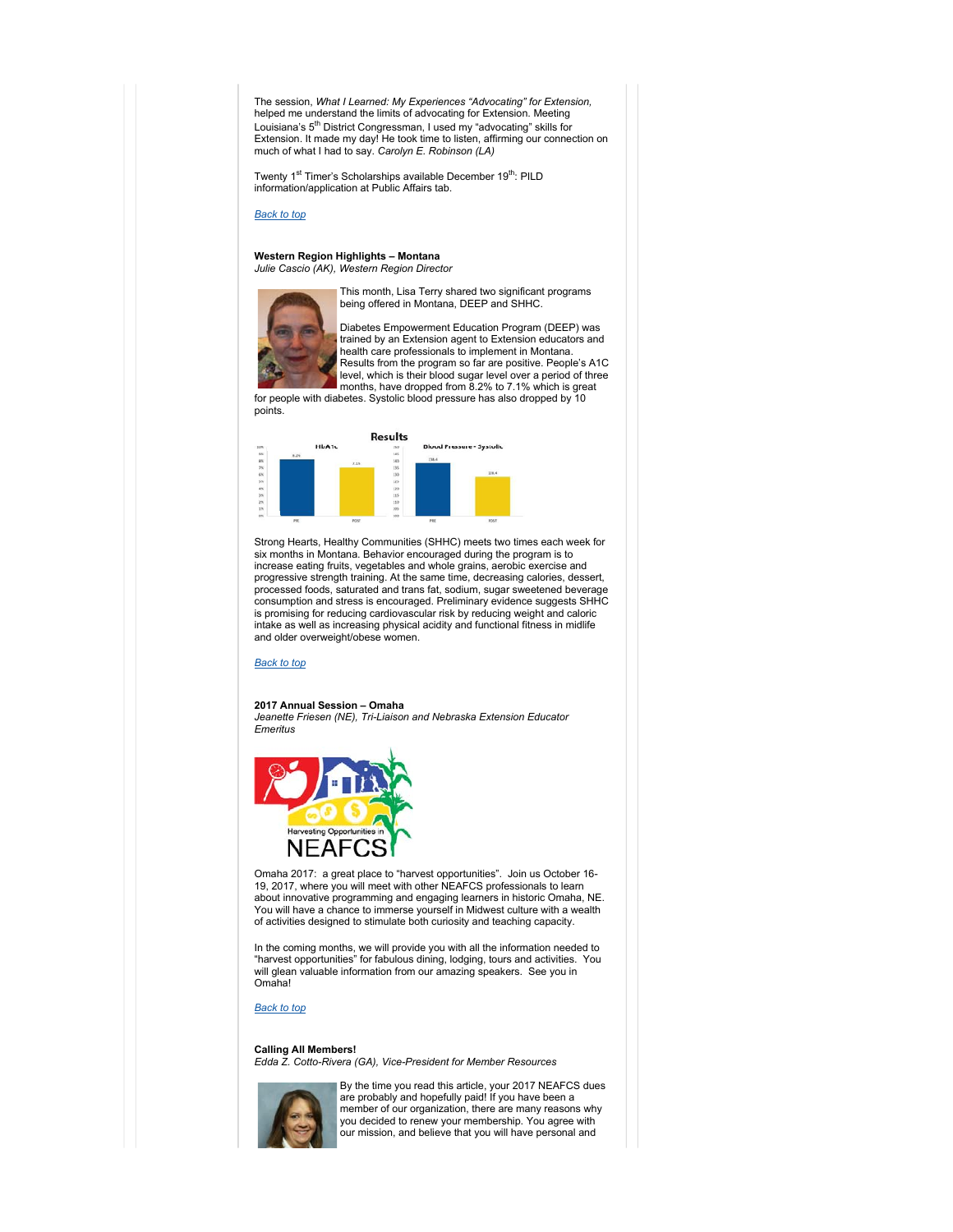The session, *What I Learned: My Experiences "Advocating" for Extension,* helped me understand the limits of advocating for Extension. Meeting Louisiana's 5<sup>th</sup> District Congressman, I used my "advocating" skills for Extension. It made my day! He took time to listen, affirming our connection on much of what I had to say. *Carolyn E. Robinson (LA)*

Twenty 1<sup>st</sup> Timer's Scholarships available December 19<sup>th</sup>: PILD information/application at Public Affairs tab.

*Back to top*

#### **Western Region Highlights – Montana** *Julie Cascio (AK), Western Region Director*



This month, Lisa Terry shared two significant programs being offered in Montana, DEEP and SHHC.

Diabetes Empowerment Education Program (DEEP) was trained by an Extension agent to Extension educators and health care professionals to implement in Montana. Results from the program so far are positive. People's A1C

level, which is their blood sugar level over a period of three months, have dropped from 8.2% to 7.1% which is great for people with diabetes. Systolic blood pressure has also dropped by 10 points.



Strong Hearts, Healthy Communities (SHHC) meets two times each week for six months in Montana. Behavior encouraged during the program is to increase eating fruits, vegetables and whole grains, aerobic exercise and progressive strength training. At the same time, decreasing calories, dessert, processed foods, saturated and trans fat, sodium, sugar sweetened beverage consumption and stress is encouraged. Preliminary evidence suggests SHHC is promising for reducing cardiovascular risk by reducing weight and caloric intake as well as increasing physical acidity and functional fitness in midlife and older overweight/obese women.

## *Back to top*

#### **2017 Annual Session – Omaha**

*Jeanette Friesen (NE), Tri-Liaison and Nebraska Extension Educator Emeritus*



Omaha 2017: a great place to "harvest opportunities". Join us October 16- 19, 2017, where you will meet with other NEAFCS professionals to learn about innovative programming and engaging learners in historic Omaha, NE. You will have a chance to immerse yourself in Midwest culture with a wealth of activities designed to stimulate both curiosity and teaching capacity.

In the coming months, we will provide you with all the information needed to "harvest opportunities" for fabulous dining, lodging, tours and activities. You will glean valuable information from our amazing speakers. See you in Omaha!

#### *Back to top*

**Calling All Members!**

*Edda Z. Cotto-Rivera (GA), Vice-President for Member Resources*



By the time you read this article, your 2017 NEAFCS dues are probably and hopefully paid! If you have been a member of our organization, there are many reasons why you decided to renew your membership. You agree with our mission, and believe that you will have personal and